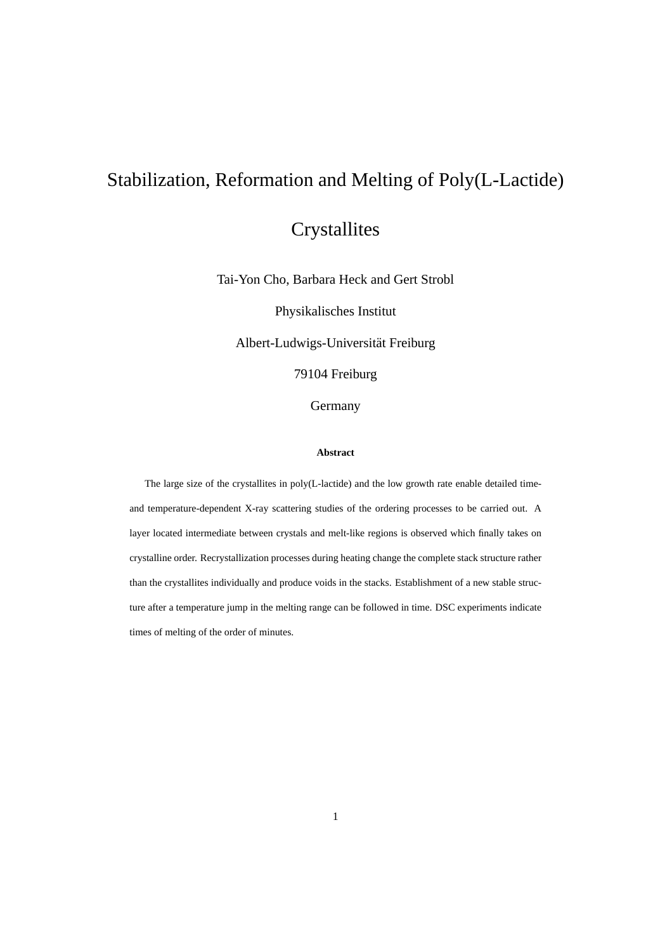# Stabilization, Reformation and Melting of Poly(L-Lactide)

**Crystallites** 

Tai-Yon Cho, Barbara Heck and Gert Strobl

Physikalisches Institut

Albert-Ludwigs-Universitat Freiburg ¨

79104 Freiburg

Germany

#### **Abstract**

The large size of the crystallites in poly(L-lactide) and the low growth rate enable detailed timeand temperature-dependent X-ray scattering studies of the ordering processes to be carried out. A layer located intermediate between crystals and melt-like regions is observed which finally takes on crystalline order. Recrystallization processes during heating change the complete stack structure rather than the crystallites individually and produce voids in the stacks. Establishment of a new stable structure after a temperature jump in the melting range can be followed in time. DSC experiments indicate times of melting of the order of minutes.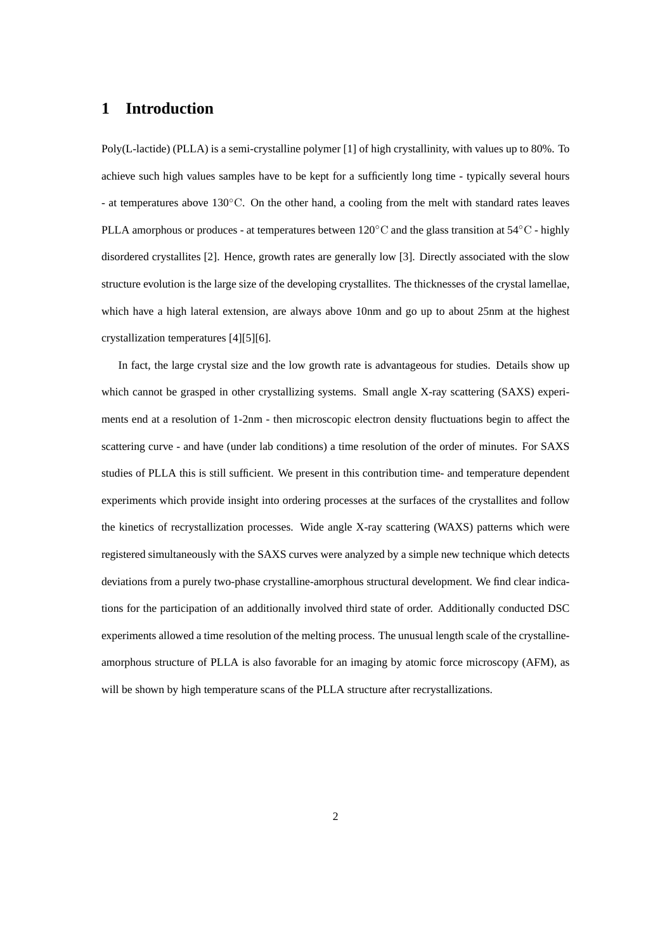## **1 Introduction**

Poly(L-lactide) (PLLA) is a semi-crystalline polymer [1] of high crystallinity, with values up to 80%. To achieve such high values samples have to be kept for a sufficiently long time - typically several hours - at temperatures above 130◦C. On the other hand, a cooling from the melt with standard rates leaves PLLA amorphous or produces - at temperatures between 120<sup>°</sup>C and the glass transition at 54<sup>°</sup>C - highly disordered crystallites [2]. Hence, growth rates are generally low [3]. Directly associated with the slow structure evolution is the large size of the developing crystallites. The thicknesses of the crystal lamellae, which have a high lateral extension, are always above 10nm and go up to about 25nm at the highest crystallization temperatures [4][5][6].

In fact, the large crystal size and the low growth rate is advantageous for studies. Details show up which cannot be grasped in other crystallizing systems. Small angle X-ray scattering (SAXS) experiments end at a resolution of 1-2nm - then microscopic electron density fluctuations begin to affect the scattering curve - and have (under lab conditions) a time resolution of the order of minutes. For SAXS studies of PLLA this is still sufficient. We present in this contribution time- and temperature dependent experiments which provide insight into ordering processes at the surfaces of the crystallites and follow the kinetics of recrystallization processes. Wide angle X-ray scattering (WAXS) patterns which were registered simultaneously with the SAXS curves were analyzed by a simple new technique which detects deviations from a purely two-phase crystalline-amorphous structural development. We find clear indications for the participation of an additionally involved third state of order. Additionally conducted DSC experiments allowed a time resolution of the melting process. The unusual length scale of the crystallineamorphous structure of PLLA is also favorable for an imaging by atomic force microscopy (AFM), as will be shown by high temperature scans of the PLLA structure after recrystallizations.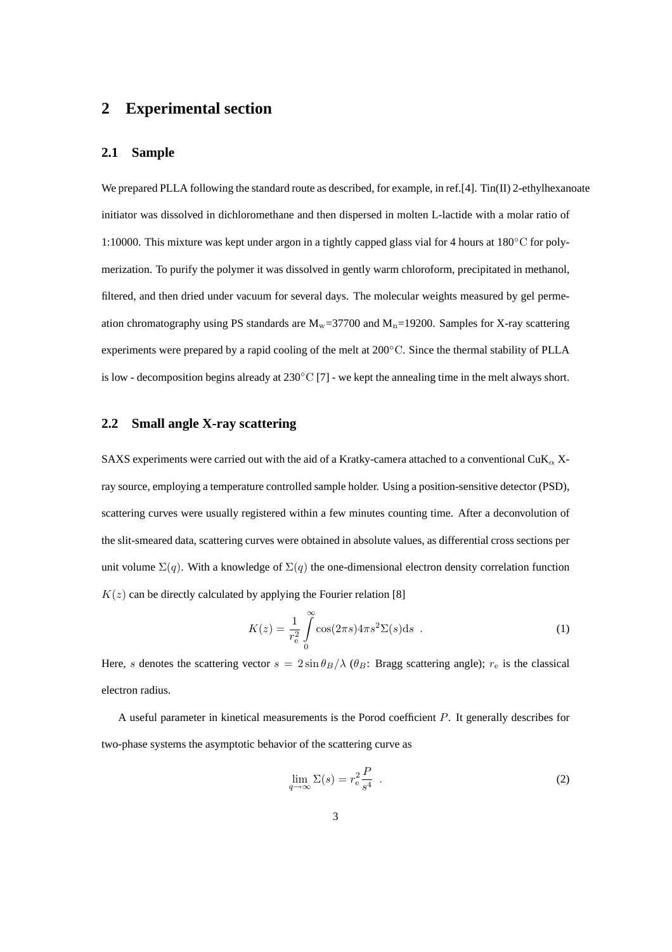## **2 Experimental section**

#### **2.1 Sample**

We prepared PLLA following the standard route as described, for example, in ref.[4]. Tin(II) 2-ethylhexanoate initiator was dissolved in dichloromethane and then dispersed in molten L-lactide with a molar ratio of 1:10000. This mixture was kept under argon in a tightly capped glass vial for 4 hours at 180◦C for polymerization. To purify the polymer it was dissolved in gently warm chloroform, precipitated in methanol, filtered, and then dried under vacuum for several days. The molecular weights measured by gel permeation chromatography using PS standards are  $M_w$ =37700 and  $M_n$ =19200. Samples for X-ray scattering experiments were prepared by a rapid cooling of the melt at 200°C. Since the thermal stability of PLLA is low - decomposition begins already at 230◦C [7] - we kept the annealing time in the melt always short.

#### **2.2 Small angle X-ray scattering**

SAXS experiments were carried out with the aid of a Kratky-camera attached to a conventional CuK $_{\alpha}$  Xray source, employing a temperature controlled sample holder. Using a position-sensitive detector (PSD), scattering curves were usually registered within a few minutes counting time. After a deconvolution of the slit-smeared data, scattering curves were obtained in absolute values, as differential cross sections per unit volume  $\Sigma(q)$ . With a knowledge of  $\Sigma(q)$  the one-dimensional electron density correlation function  $K(z)$  can be directly calculated by applying the Fourier relation [8]

$$
K(z) = \frac{1}{r_e^2} \int\limits_0^\infty \cos(2\pi s) 4\pi s^2 \Sigma(s) \mathrm{d}s \quad . \tag{1}
$$

Here, s denotes the scattering vector  $s = 2 \sin \theta_B / \lambda$  ( $\theta_B$ : Bragg scattering angle);  $r_e$  is the classical electron radius.

A useful parameter in kinetical measurements is the Porod coefficient P. It generally describes for two-phase systems the asymptotic behavior of the scattering curve as

$$
\lim_{q \to \infty} \Sigma(s) = r_{\rm e}^2 \frac{P}{s^4} \tag{2}
$$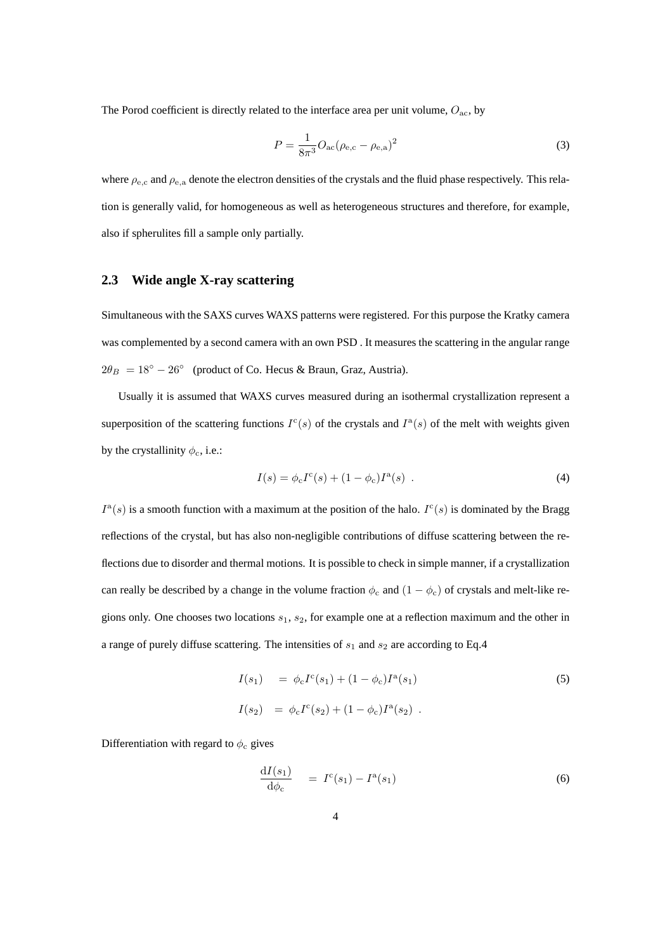The Porod coefficient is directly related to the interface area per unit volume,  $O_{ac}$ , by

$$
P = \frac{1}{8\pi^3} O_{\text{ac}} (\rho_{\text{e,c}} - \rho_{\text{e,a}})^2
$$
 (3)

where  $\rho_{\rm e,c}$  and  $\rho_{\rm e,a}$  denote the electron densities of the crystals and the fluid phase respectively. This relation is generally valid, for homogeneous as well as heterogeneous structures and therefore, for example, also if spherulites fill a sample only partially.

### **2.3 Wide angle X-ray scattering**

Simultaneous with the SAXS curves WAXS patterns were registered. For this purpose the Kratky camera was complemented by a second camera with an own PSD . It measures the scattering in the angular range  $2\theta_B = 18° - 26°$  (product of Co. Hecus & Braun, Graz, Austria).

Usually it is assumed that WAXS curves measured during an isothermal crystallization represent a superposition of the scattering functions  $I^c(s)$  of the crystals and  $I^a(s)$  of the melt with weights given by the crystallinity  $\phi_c$ , i.e.:

$$
I(s) = \phi_c I^c(s) + (1 - \phi_c)I^a(s) .
$$
 (4)

 $I^{\rm a}(s)$  is a smooth function with a maximum at the position of the halo.  $I^{\rm c}(s)$  is dominated by the Bragg reflections of the crystal, but has also non-negligible contributions of diffuse scattering between the reflections due to disorder and thermal motions. It is possible to check in simple manner, if a crystallization can really be described by a change in the volume fraction  $\phi_c$  and  $(1 - \phi_c)$  of crystals and melt-like regions only. One chooses two locations  $s_1$ ,  $s_2$ , for example one at a reflection maximum and the other in a range of purely diffuse scattering. The intensities of  $s_1$  and  $s_2$  are according to Eq.4

$$
I(s_1) = \phi_c I^c(s_1) + (1 - \phi_c) I^a(s_1)
$$
  
\n
$$
I(s_2) = \phi_c I^c(s_2) + (1 - \phi_c) I^a(s_2).
$$
\n(5)

Differentiation with regard to  $\phi_c$  gives

$$
\frac{\mathrm{d}I(s_1)}{\mathrm{d}\phi_{\rm c}} = I^{\rm c}(s_1) - I^{\rm a}(s_1) \tag{6}
$$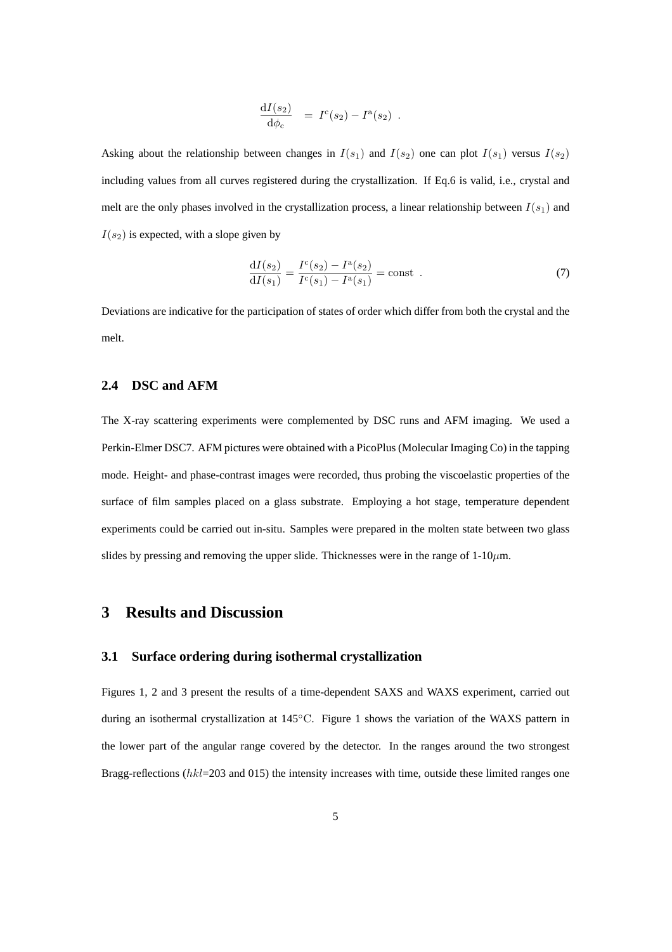$$
\frac{\mathrm{d}I(s_2)}{\mathrm{d}\phi_c} = I^c(s_2) - I^a(s_2) .
$$

Asking about the relationship between changes in  $I(s_1)$  and  $I(s_2)$  one can plot  $I(s_1)$  versus  $I(s_2)$ including values from all curves registered during the crystallization. If Eq.6 is valid, i.e., crystal and melt are the only phases involved in the crystallization process, a linear relationship between  $I(s_1)$  and  $I(s_2)$  is expected, with a slope given by

$$
\frac{dI(s_2)}{dI(s_1)} = \frac{I^c(s_2) - I^a(s_2)}{I^c(s_1) - I^a(s_1)} = \text{const} .
$$
\n(7)

Deviations are indicative for the participation of states of order which differ from both the crystal and the melt.

#### **2.4 DSC and AFM**

The X-ray scattering experiments were complemented by DSC runs and AFM imaging. We used a Perkin-Elmer DSC7. AFM pictures were obtained with a PicoPlus (Molecular Imaging Co) in the tapping mode. Height- and phase-contrast images were recorded, thus probing the viscoelastic properties of the surface of film samples placed on a glass substrate. Employing a hot stage, temperature dependent experiments could be carried out in-situ. Samples were prepared in the molten state between two glass slides by pressing and removing the upper slide. Thicknesses were in the range of  $1-10\mu$ m.

## **3 Results and Discussion**

#### **3.1 Surface ordering during isothermal crystallization**

Figures 1, 2 and 3 present the results of a time-dependent SAXS and WAXS experiment, carried out during an isothermal crystallization at 145◦C. Figure 1 shows the variation of the WAXS pattern in the lower part of the angular range covered by the detector. In the ranges around the two strongest Bragg-reflections  $(hkl=203 \text{ and } 015)$  the intensity increases with time, outside these limited ranges one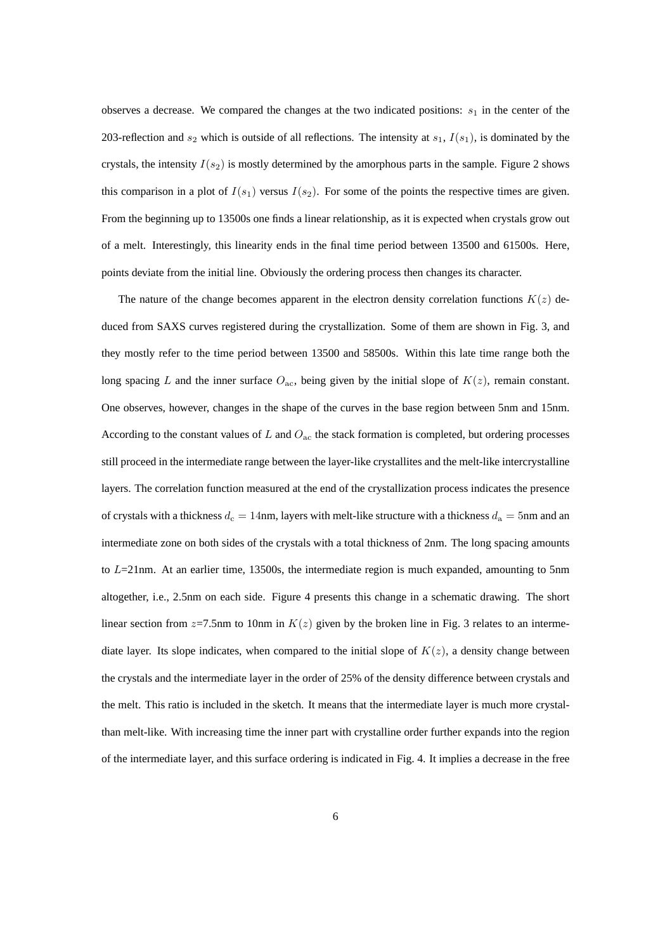observes a decrease. We compared the changes at the two indicated positions:  $s<sub>1</sub>$  in the center of the 203-reflection and  $s_2$  which is outside of all reflections. The intensity at  $s_1$ ,  $I(s_1)$ , is dominated by the crystals, the intensity  $I(s_2)$  is mostly determined by the amorphous parts in the sample. Figure 2 shows this comparison in a plot of  $I(s_1)$  versus  $I(s_2)$ . For some of the points the respective times are given. From the beginning up to 13500s one finds a linear relationship, as it is expected when crystals grow out of a melt. Interestingly, this linearity ends in the final time period between 13500 and 61500s. Here, points deviate from the initial line. Obviously the ordering process then changes its character.

The nature of the change becomes apparent in the electron density correlation functions  $K(z)$  deduced from SAXS curves registered during the crystallization. Some of them are shown in Fig. 3, and they mostly refer to the time period between 13500 and 58500s. Within this late time range both the long spacing L and the inner surface  $O_{ac}$ , being given by the initial slope of  $K(z)$ , remain constant. One observes, however, changes in the shape of the curves in the base region between 5nm and 15nm. According to the constant values of  $L$  and  $O_{ac}$  the stack formation is completed, but ordering processes still proceed in the intermediate range between the layer-like crystallites and the melt-like intercrystalline layers. The correlation function measured at the end of the crystallization process indicates the presence of crystals with a thickness  $d_c = 14$ nm, layers with melt-like structure with a thickness  $d_a = 5$ nm and an intermediate zone on both sides of the crystals with a total thickness of 2nm. The long spacing amounts to  $L=21$ nm. At an earlier time, 13500s, the intermediate region is much expanded, amounting to 5nm altogether, i.e., 2.5nm on each side. Figure 4 presents this change in a schematic drawing. The short linear section from  $z=7.5$ nm to 10nm in  $K(z)$  given by the broken line in Fig. 3 relates to an intermediate layer. Its slope indicates, when compared to the initial slope of  $K(z)$ , a density change between the crystals and the intermediate layer in the order of 25% of the density difference between crystals and the melt. This ratio is included in the sketch. It means that the intermediate layer is much more crystalthan melt-like. With increasing time the inner part with crystalline order further expands into the region of the intermediate layer, and this surface ordering is indicated in Fig. 4. It implies a decrease in the free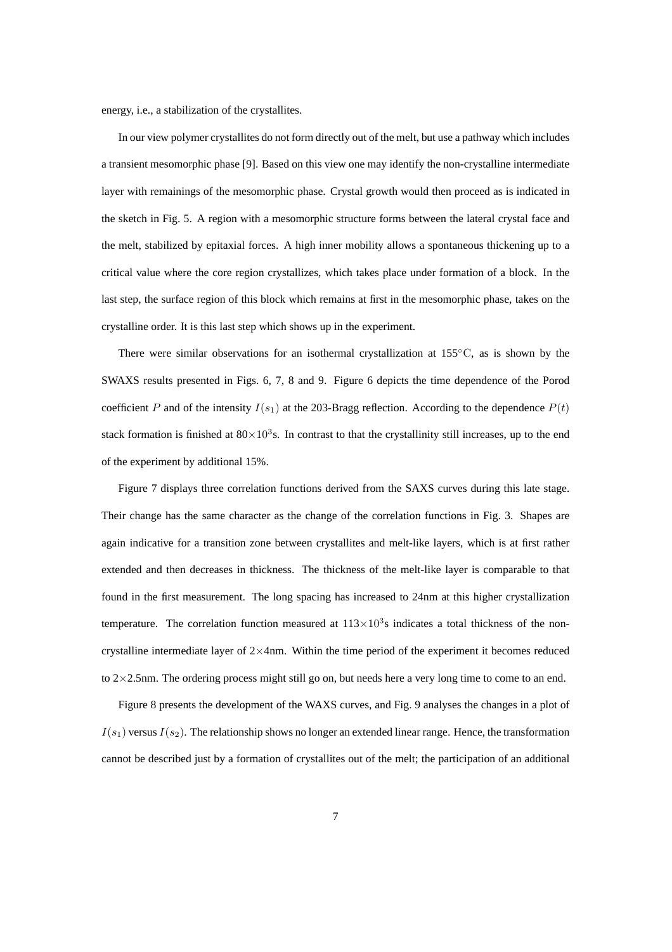energy, i.e., a stabilization of the crystallites.

In our view polymer crystallites do not form directly out of the melt, but use a pathway which includes a transient mesomorphic phase [9]. Based on this view one may identify the non-crystalline intermediate layer with remainings of the mesomorphic phase. Crystal growth would then proceed as is indicated in the sketch in Fig. 5. A region with a mesomorphic structure forms between the lateral crystal face and the melt, stabilized by epitaxial forces. A high inner mobility allows a spontaneous thickening up to a critical value where the core region crystallizes, which takes place under formation of a block. In the last step, the surface region of this block which remains at first in the mesomorphic phase, takes on the crystalline order. It is this last step which shows up in the experiment.

There were similar observations for an isothermal crystallization at 155◦C, as is shown by the SWAXS results presented in Figs. 6, 7, 8 and 9. Figure 6 depicts the time dependence of the Porod coefficient P and of the intensity  $I(s_1)$  at the 203-Bragg reflection. According to the dependence  $P(t)$ stack formation is finished at  $80 \times 10^3$ s. In contrast to that the crystallinity still increases, up to the end of the experiment by additional 15%.

Figure 7 displays three correlation functions derived from the SAXS curves during this late stage. Their change has the same character as the change of the correlation functions in Fig. 3. Shapes are again indicative for a transition zone between crystallites and melt-like layers, which is at first rather extended and then decreases in thickness. The thickness of the melt-like layer is comparable to that found in the first measurement. The long spacing has increased to 24nm at this higher crystallization temperature. The correlation function measured at  $113\times10^3$ s indicates a total thickness of the noncrystalline intermediate layer of  $2\times$ 4nm. Within the time period of the experiment it becomes reduced to  $2\times2.5$  hm. The ordering process might still go on, but needs here a very long time to come to an end.

Figure 8 presents the development of the WAXS curves, and Fig. 9 analyses the changes in a plot of  $I(s_1)$  versus  $I(s_2)$ . The relationship shows no longer an extended linear range. Hence, the transformation cannot be described just by a formation of crystallites out of the melt; the participation of an additional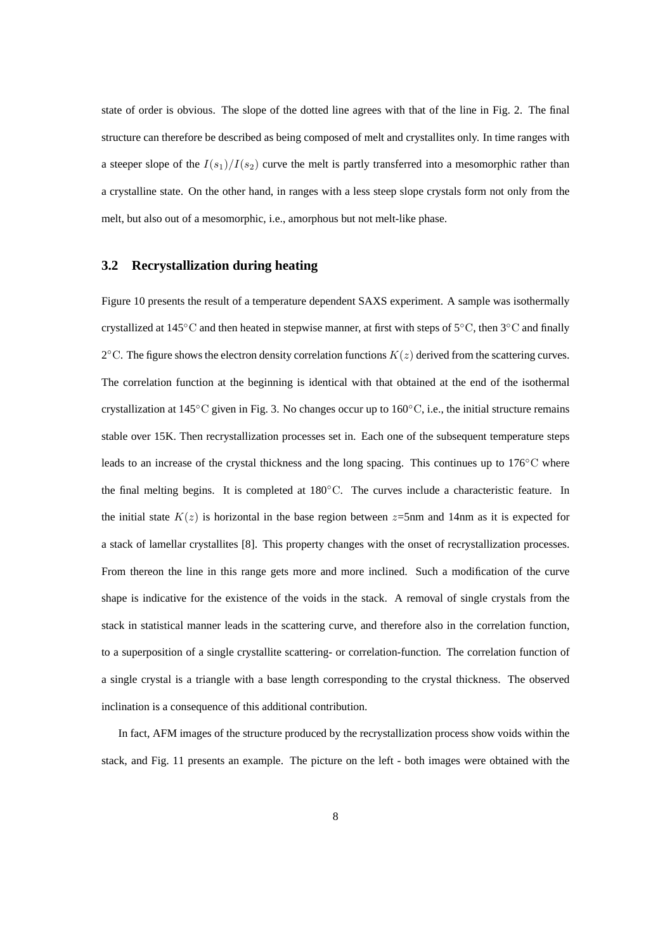state of order is obvious. The slope of the dotted line agrees with that of the line in Fig. 2. The final structure can therefore be described as being composed of melt and crystallites only. In time ranges with a steeper slope of the  $I(s_1)/I(s_2)$  curve the melt is partly transferred into a mesomorphic rather than a crystalline state. On the other hand, in ranges with a less steep slope crystals form not only from the melt, but also out of a mesomorphic, i.e., amorphous but not melt-like phase.

#### **3.2 Recrystallization during heating**

Figure 10 presents the result of a temperature dependent SAXS experiment. A sample was isothermally crystallized at 145◦C and then heated in stepwise manner, at first with steps of 5◦C, then 3◦C and finally 2°C. The figure shows the electron density correlation functions  $K(z)$  derived from the scattering curves. The correlation function at the beginning is identical with that obtained at the end of the isothermal crystallization at 145°C given in Fig. 3. No changes occur up to 160°C, i.e., the initial structure remains stable over 15K. Then recrystallization processes set in. Each one of the subsequent temperature steps leads to an increase of the crystal thickness and the long spacing. This continues up to 176℃ where the final melting begins. It is completed at 180◦C. The curves include a characteristic feature. In the initial state  $K(z)$  is horizontal in the base region between  $z=5$ nm and 14nm as it is expected for a stack of lamellar crystallites [8]. This property changes with the onset of recrystallization processes. From thereon the line in this range gets more and more inclined. Such a modification of the curve shape is indicative for the existence of the voids in the stack. A removal of single crystals from the stack in statistical manner leads in the scattering curve, and therefore also in the correlation function, to a superposition of a single crystallite scattering- or correlation-function. The correlation function of a single crystal is a triangle with a base length corresponding to the crystal thickness. The observed inclination is a consequence of this additional contribution.

In fact, AFM images of the structure produced by the recrystallization process show voids within the stack, and Fig. 11 presents an example. The picture on the left - both images were obtained with the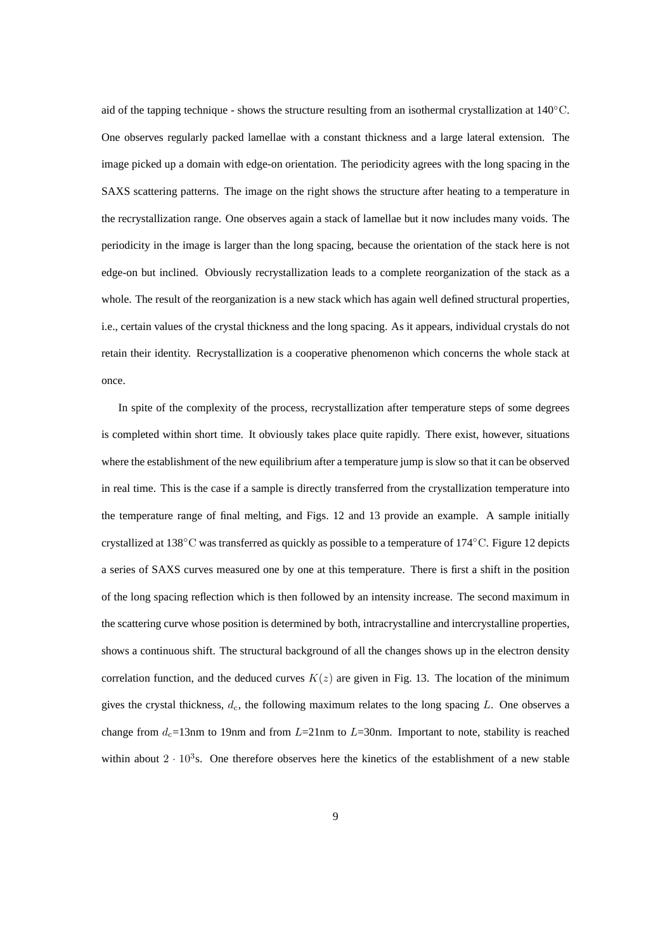aid of the tapping technique - shows the structure resulting from an isothermal crystallization at 140◦C. One observes regularly packed lamellae with a constant thickness and a large lateral extension. The image picked up a domain with edge-on orientation. The periodicity agrees with the long spacing in the SAXS scattering patterns. The image on the right shows the structure after heating to a temperature in the recrystallization range. One observes again a stack of lamellae but it now includes many voids. The periodicity in the image is larger than the long spacing, because the orientation of the stack here is not edge-on but inclined. Obviously recrystallization leads to a complete reorganization of the stack as a whole. The result of the reorganization is a new stack which has again well defined structural properties, i.e., certain values of the crystal thickness and the long spacing. As it appears, individual crystals do not retain their identity. Recrystallization is a cooperative phenomenon which concerns the whole stack at once.

In spite of the complexity of the process, recrystallization after temperature steps of some degrees is completed within short time. It obviously takes place quite rapidly. There exist, however, situations where the establishment of the new equilibrium after a temperature jump is slow so that it can be observed in real time. This is the case if a sample is directly transferred from the crystallization temperature into the temperature range of final melting, and Figs. 12 and 13 provide an example. A sample initially crystallized at 138◦C was transferred as quickly as possible to a temperature of 174 ◦C. Figure 12 depicts a series of SAXS curves measured one by one at this temperature. There is first a shift in the position of the long spacing reflection which is then followed by an intensity increase. The second maximum in the scattering curve whose position is determined by both, intracrystalline and intercrystalline properties, shows a continuous shift. The structural background of all the changes shows up in the electron density correlation function, and the deduced curves  $K(z)$  are given in Fig. 13. The location of the minimum gives the crystal thickness,  $d_c$ , the following maximum relates to the long spacing L. One observes a change from  $d_c=13$ nm to 19nm and from  $L=21$ nm to  $L=30$ nm. Important to note, stability is reached within about  $2 \cdot 10^3$ s. One therefore observes here the kinetics of the establishment of a new stable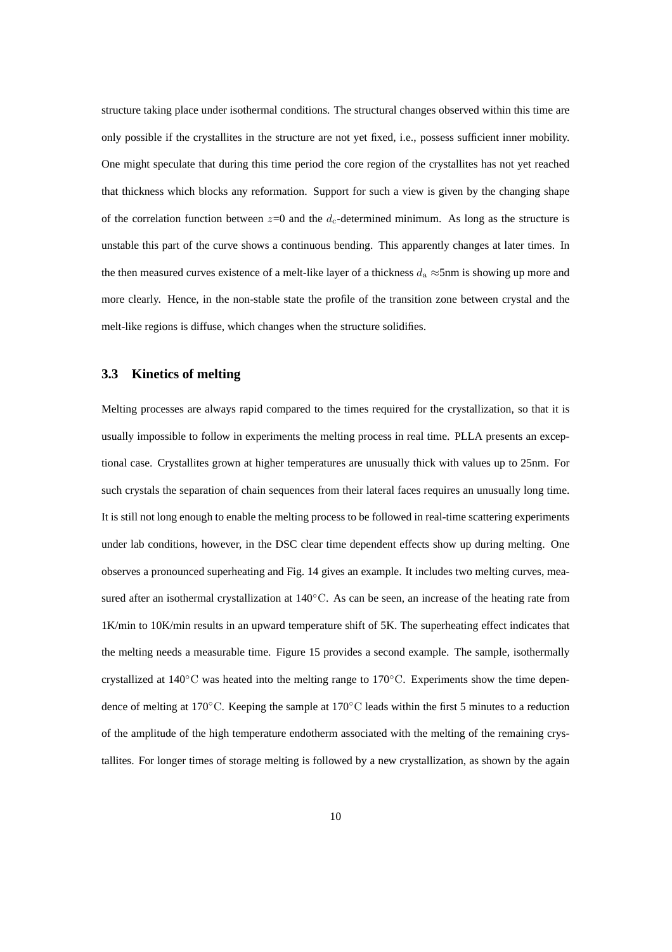structure taking place under isothermal conditions. The structural changes observed within this time are only possible if the crystallites in the structure are not yet fixed, i.e., possess sufficient inner mobility. One might speculate that during this time period the core region of the crystallites has not yet reached that thickness which blocks any reformation. Support for such a view is given by the changing shape of the correlation function between  $z=0$  and the  $d_c$ -determined minimum. As long as the structure is unstable this part of the curve shows a continuous bending. This apparently changes at later times. In the then measured curves existence of a melt-like layer of a thickness  $d_a \approx 5$ nm is showing up more and more clearly. Hence, in the non-stable state the profile of the transition zone between crystal and the melt-like regions is diffuse, which changes when the structure solidifies.

#### **3.3 Kinetics of melting**

Melting processes are always rapid compared to the times required for the crystallization, so that it is usually impossible to follow in experiments the melting process in real time. PLLA presents an exceptional case. Crystallites grown at higher temperatures are unusually thick with values up to 25nm. For such crystals the separation of chain sequences from their lateral faces requires an unusually long time. It is still not long enough to enable the melting process to be followed in real-time scattering experiments under lab conditions, however, in the DSC clear time dependent effects show up during melting. One observes a pronounced superheating and Fig. 14 gives an example. It includes two melting curves, measured after an isothermal crystallization at 140°C. As can be seen, an increase of the heating rate from 1K/min to 10K/min results in an upward temperature shift of 5K. The superheating effect indicates that the melting needs a measurable time. Figure 15 provides a second example. The sample, isothermally crystallized at 140◦C was heated into the melting range to 170◦C. Experiments show the time dependence of melting at 170◦C. Keeping the sample at 170◦C leads within the first 5 minutes to a reduction of the amplitude of the high temperature endotherm associated with the melting of the remaining crystallites. For longer times of storage melting is followed by a new crystallization, as shown by the again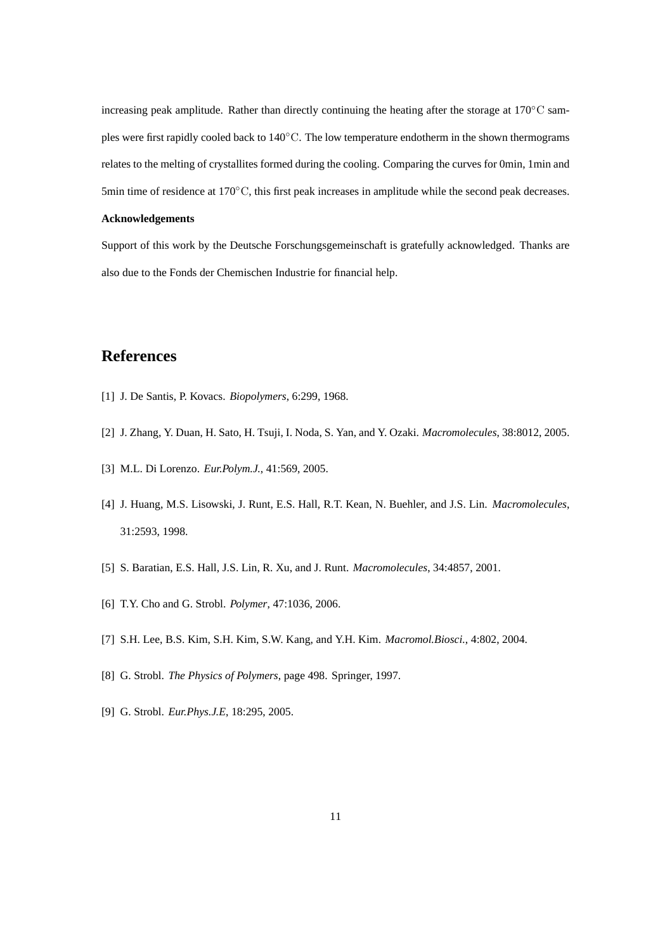increasing peak amplitude. Rather than directly continuing the heating after the storage at  $170°C$  samples were first rapidly cooled back to 140◦C. The low temperature endotherm in the shown thermograms relates to the melting of crystallites formed during the cooling. Comparing the curves for 0min, 1min and 5min time of residence at 170℃, this first peak increases in amplitude while the second peak decreases.

#### **Acknowledgements**

Support of this work by the Deutsche Forschungsgemeinschaft is gratefully acknowledged. Thanks are also due to the Fonds der Chemischen Industrie for financial help.

## **References**

- [1] J. De Santis, P. Kovacs. *Biopolymers*, 6:299, 1968.
- [2] J. Zhang, Y. Duan, H. Sato, H. Tsuji, I. Noda, S. Yan, and Y. Ozaki. *Macromolecules*, 38:8012, 2005.
- [3] M.L. Di Lorenzo. *Eur.Polym.J.*, 41:569, 2005.
- [4] J. Huang, M.S. Lisowski, J. Runt, E.S. Hall, R.T. Kean, N. Buehler, and J.S. Lin. *Macromolecules*, 31:2593, 1998.
- [5] S. Baratian, E.S. Hall, J.S. Lin, R. Xu, and J. Runt. *Macromolecules*, 34:4857, 2001.
- [6] T.Y. Cho and G. Strobl. *Polymer*, 47:1036, 2006.
- [7] S.H. Lee, B.S. Kim, S.H. Kim, S.W. Kang, and Y.H. Kim. *Macromol.Biosci.*, 4:802, 2004.
- [8] G. Strobl. *The Physics of Polymers*, page 498. Springer, 1997.
- [9] G. Strobl. *Eur.Phys.J.E*, 18:295, 2005.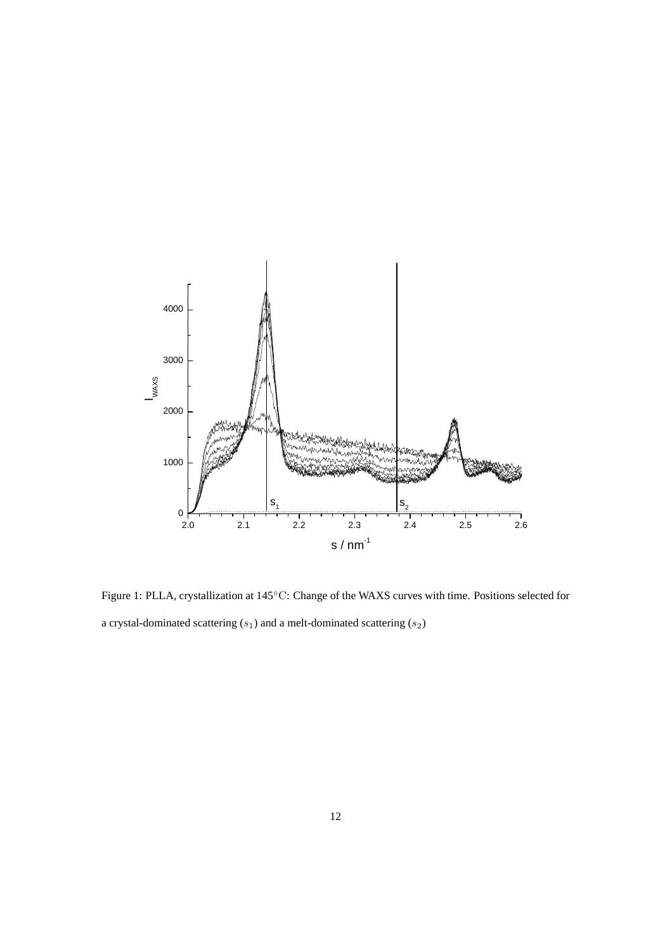

Figure 1: PLLA, crystallization at 145◦C: Change of the WAXS curves with time. Positions selected for a crystal-dominated scattering  $(s_1)$  and a melt-dominated scattering  $(s_2)$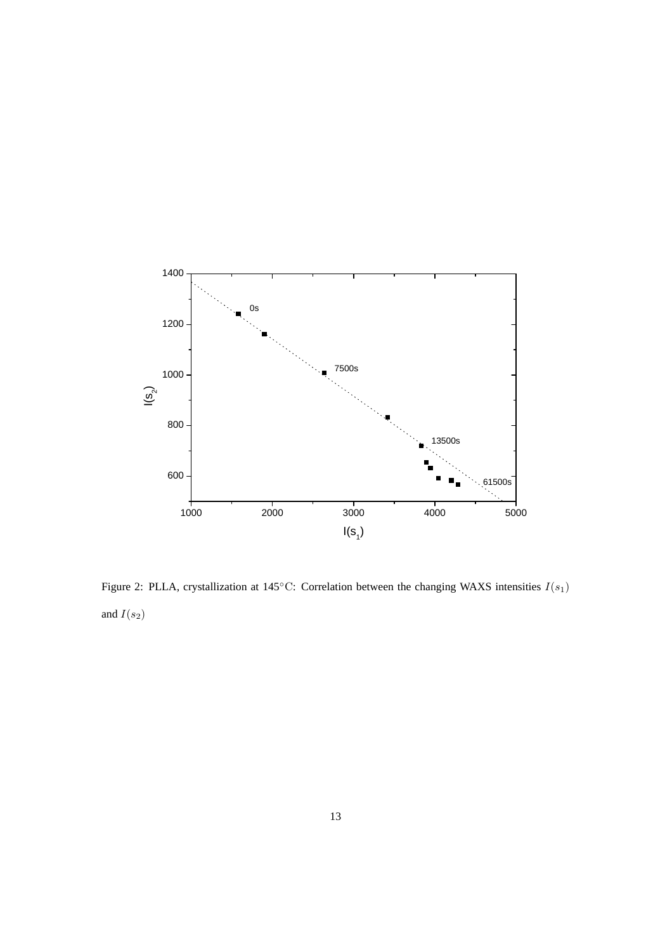

Figure 2: PLLA, crystallization at 145°C: Correlation between the changing WAXS intensities  $I(s_1)$ and  $\mathcal{I}(s_2)$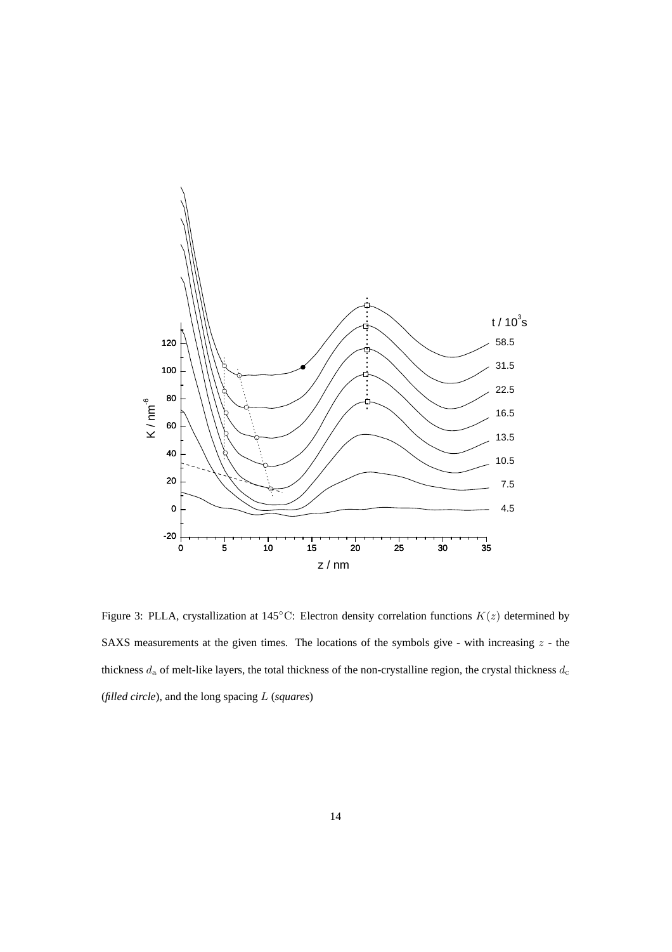

Figure 3: PLLA, crystallization at 145°C: Electron density correlation functions  $K(z)$  determined by SAXS measurements at the given times. The locations of the symbols give - with increasing  $z$  - the thickness  $d_a$  of melt-like layers, the total thickness of the non-crystalline region, the crystal thickness  $d_c$ (*filled circle*), and the long spacing L (*squares*)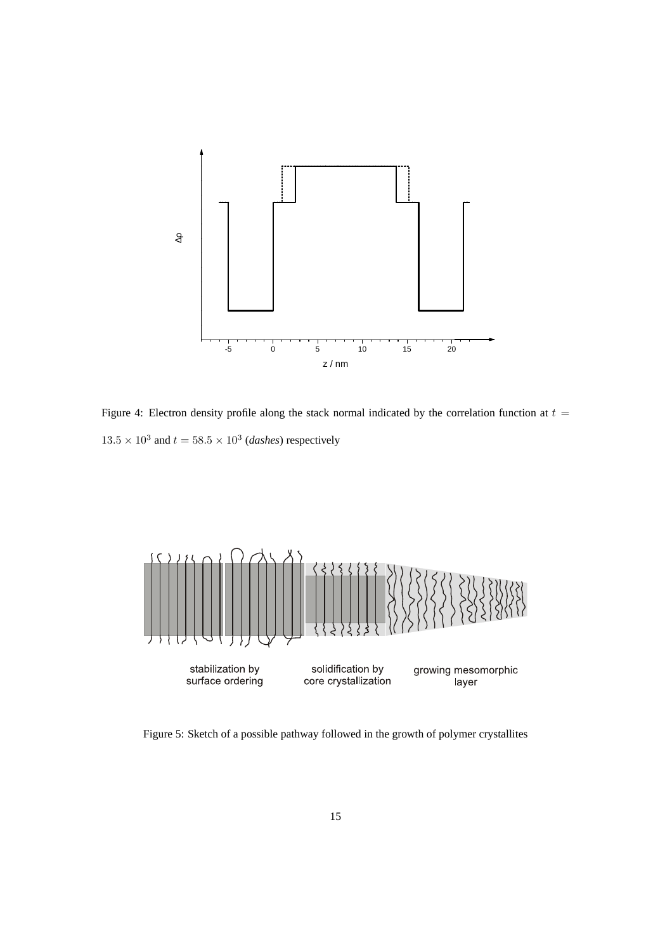

Figure 4: Electron density profile along the stack normal indicated by the correlation function at  $t =$  $13.5 \times 10^3$  and  $t = 58.5 \times 10^3$  (*dashes*) respectively



Figure 5: Sketch of a possible pathway followed in the growth of polymer crystallites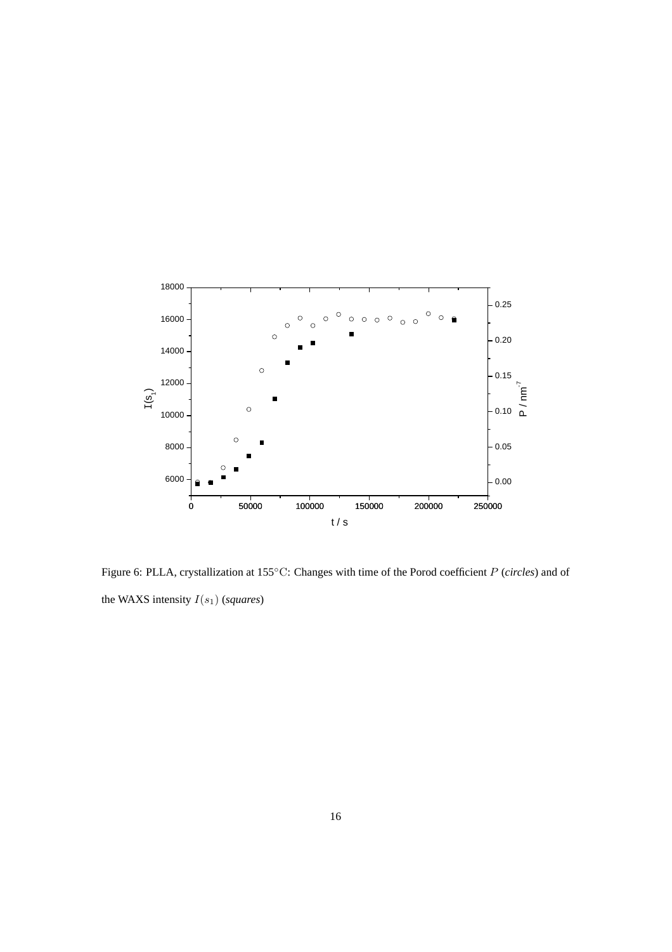

Figure 6: PLLA, crystallization at 155◦C: Changes with time of the Porod coefficient P (*circles*) and of the WAXS intensity  $I(s_1)$  (*squares*)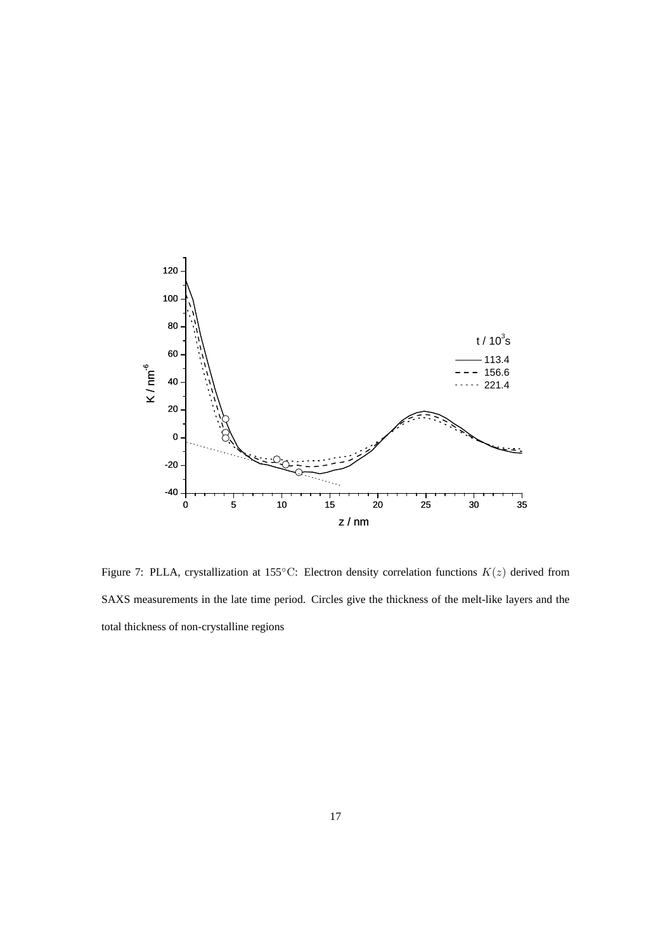

Figure 7: PLLA, crystallization at 155°C: Electron density correlation functions  $K(z)$  derived from SAXS measurements in the late time period. Circles give the thickness of the melt-like layers and the total thickness of non-crystalline regions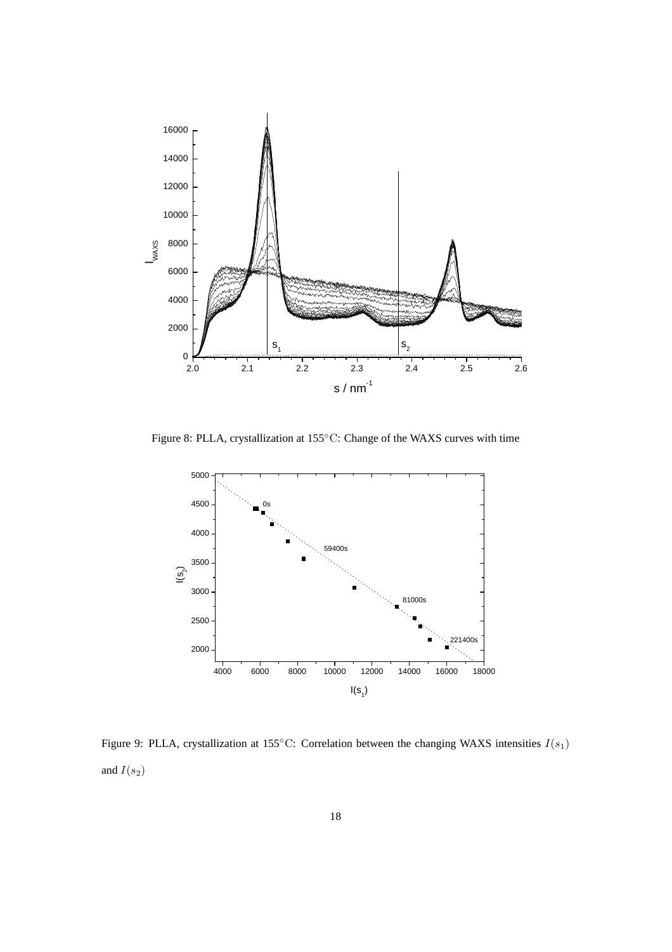

Figure 8: PLLA, crystallization at 155◦C: Change of the WAXS curves with time



Figure 9: PLLA, crystallization at 155°C: Correlation between the changing WAXS intensities  $I(s_1)$ and  $I(s_2)$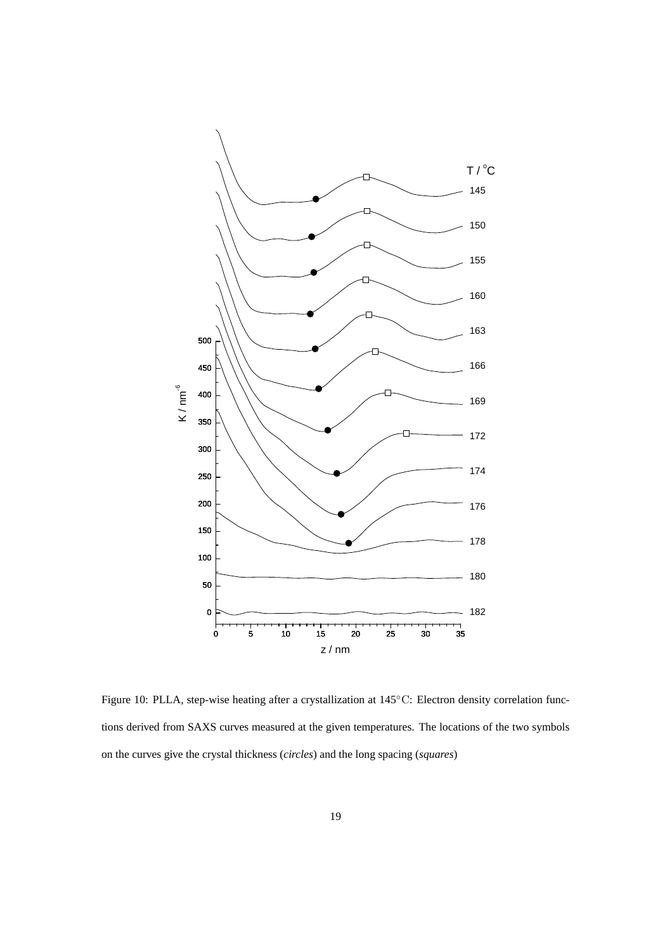

Figure 10: PLLA, step-wise heating after a crystallization at 145◦C: Electron density correlation functions derived from SAXS curves measured at the given temperatures. The locations of the two symbols on the curves give the crystal thickness (*circles*) and the long spacing (*squares*)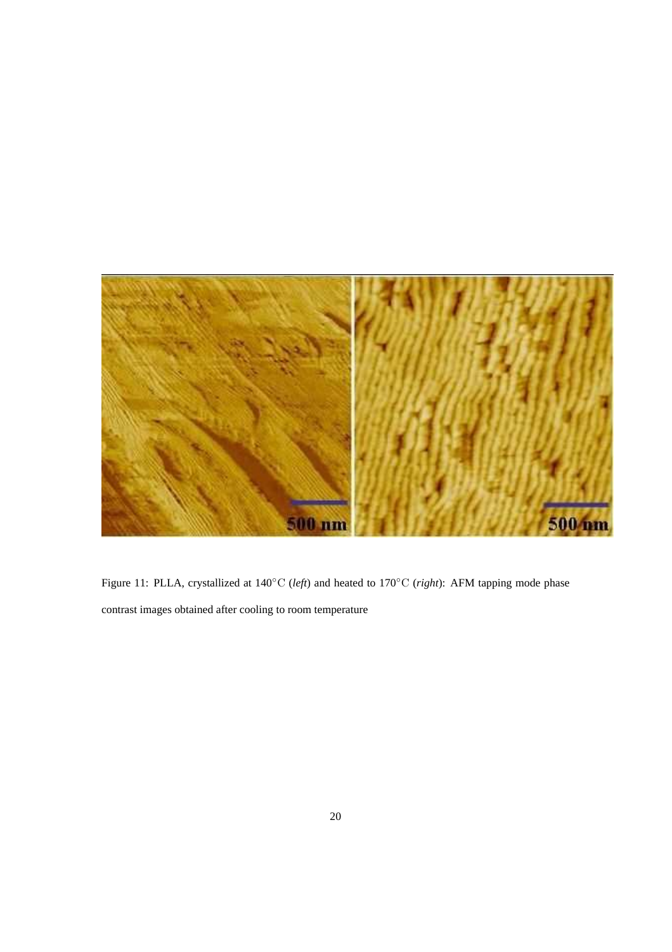

Figure 11: PLLA, crystallized at 140◦C (*left*) and heated to 170◦C (*right*): AFM tapping mode phase contrast images obtained after cooling to room temperature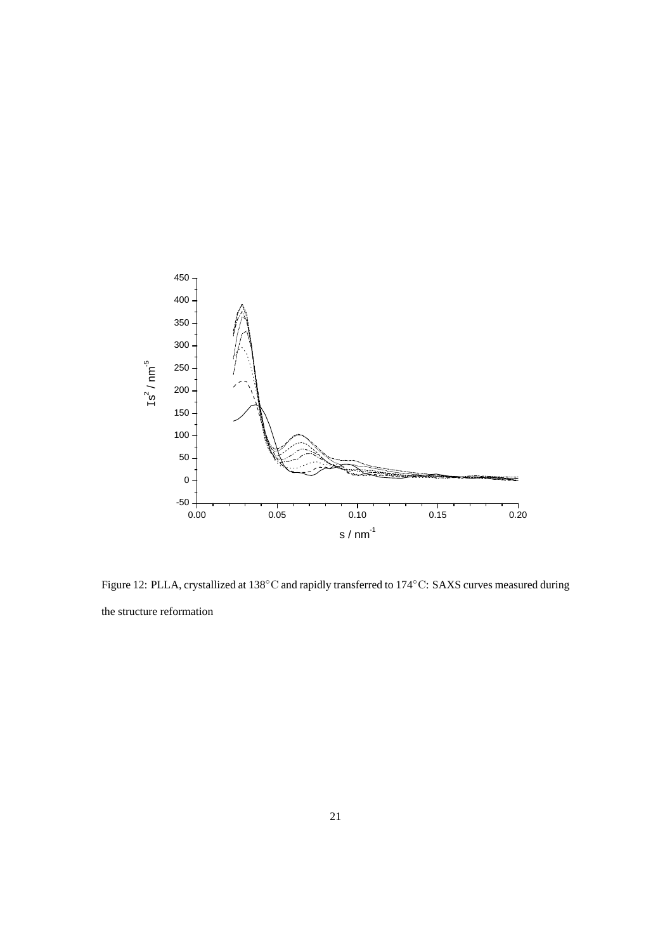

Figure 12: PLLA, crystallized at 138◦C and rapidly transferred to 174◦C: SAXS curves measured during the structure reformation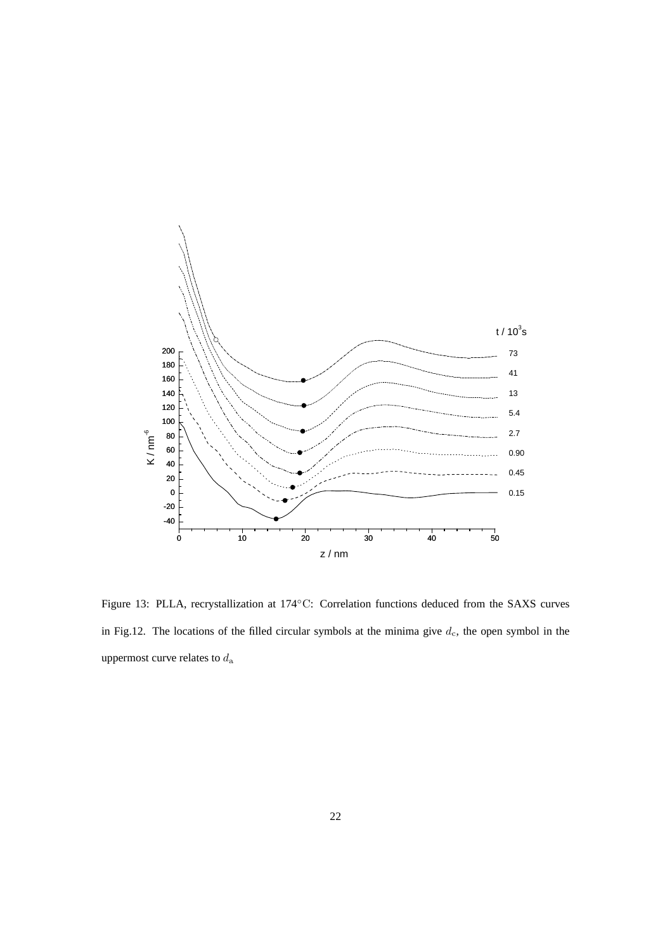

Figure 13: PLLA, recrystallization at 174◦C: Correlation functions deduced from the SAXS curves in Fig.12. The locations of the filled circular symbols at the minima give  $d_c$ , the open symbol in the uppermost curve relates to  $d_{\rm a}$